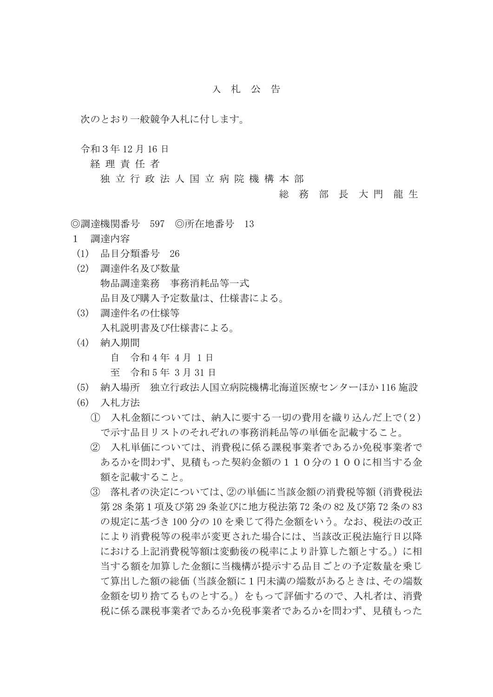## 入 札 公 告

次のとおり一般競争入札に付します。

令和3年 12 月 16 日

経 理 責 任 者

独 立 行 政 法 人 国 立 病 院 機 構 本 部

## 総 務 部 長 大 門 龍 生

◎調達機関番号 597 ◎所在地番号 13

- 1 調達内容
- (1) 品目分類番号 26
- (2) 調達件名及び数量 物品調達業務 事務消耗品等一式 品目及び購入予定数量は、仕様書による。
- (3) 調達件名の仕様等 入札説明書及び仕様書による。
- (4) 納入期間
	- 自 令和 4 年 4 月 1 日
	- 至 令和 5 年 3 月 31 日
- (5) 納入場所 独立行政法人国立病院機構北海道医療センターほか 116 施設
- (6) 入札方法
	- ① 入札金額については、納入に要する一切の費用を織り込んだ上で(2) で示す品目リストのそれぞれの事務消耗品等の単価を記載すること。
	- ② 入札単価については、消費税に係る課税事業者であるか免税事業者で あるかを問わず、見積もった契約金額の110分の100に相当する金 額を記載すること。
	- ③ 落札者の決定については、②の単価に当該金額の消費税等額(消費税法 第 28 条第1項及び第 29 条並びに地方税法第 72 条の 82 及び第 72 条の 83 の規定に基づき 100 分の 10 を乗じて得た金額をいう。なお、税法の改正 により消費税等の税率が変更された場合には、当該改正税法施行日以降 における上記消費税等額は変動後の税率により計算した額とする。)に相 当する額を加算した金額に当機構が提示する品目ごとの予定数量を乗じ て算出した額の総価(当該金額に1円未満の端数があるときは、その端数 金額を切り捨てるものとする。)をもって評価するので、入札者は、消費 税に係る課税事業者であるか免税事業者であるかを問わず、見積もった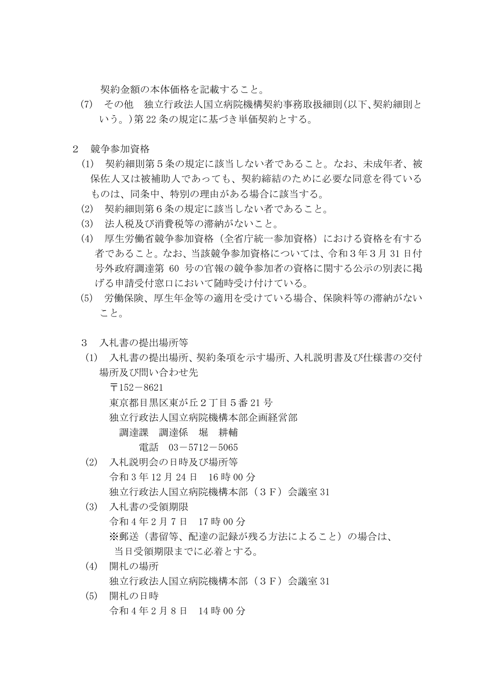契約金額の本体価格を記載すること。

- (7) その他 独立行政法人国立病院機構契約事務取扱細則(以下、契約細則と いう。)第 22 条の規定に基づき単価契約とする。
- 2 競争参加資格
	- (1) 契約細則第5条の規定に該当しない者であること。なお、未成年者、被 保佐人又は被補助人であっても、契約締結のために必要な同意を得ている ものは、同条中、特別の理由がある場合に該当する。
	- (2) 契約細則第6条の規定に該当しない者であること。
	- (3) 法人税及び消費税等の滞納がないこと。
	- (4) 厚生労働省競争参加資格(全省庁統一参加資格)における資格を有する 者であること。なお、当該競争参加資格については、令和3年3月 31 日付 号外政府調達第 60 号の官報の競争参加者の資格に関する公示の別表に掲 げる申請受付窓口において随時受け付けている。
	- (5) 労働保険、厚生年金等の適用を受けている場合、保険料等の滞納がない こと。
	- 3 入札書の提出場所等
	- (1) 入札書の提出場所、契約条項を示す場所、入札説明書及び仕様書の交付 場所及び問い合わせ先

 $-152-8621$  東京都目黒区東が丘2丁目5番 21 号 独立行政法人国立病院機構本部企画経営部 調達課 調達係 堀 耕輔

電話 03-5712-5065

- (2) 入札説明会の日時及び場所等 令和 3 年 12 月 24 日 16 時 00 分 独立行政法人国立病院機構本部(3F)会議室 31
- (3) 入札書の受領期限 令和 4 年 2 月 7 日 17 時 00 分 ※郵送(書留等、配達の記録が残る方法によること)の場合は、 当日受領期限までに必着とする。
- (4) 開札の場所 独立行政法人国立病院機構本部(3F)会議室 31
- (5) 開札の日時 令和 4 年 2 月 8 日 14 時 00 分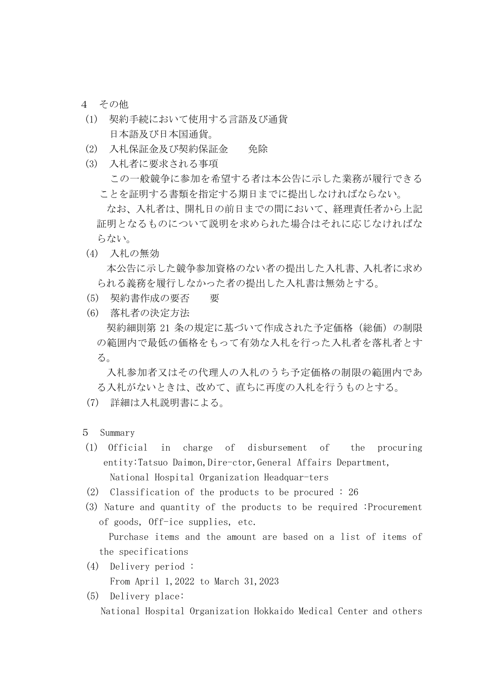- 4 その他
- (1) 契約手続において使用する言語及び通貨 日本語及び日本国通貨。
- (2) 入札保証金及び契約保証金 免除
- (3) 入札者に要求される事項 この一般競争に参加を希望する者は本公告に示した業務が履行できる ことを証明する書類を指定する期日までに提出しなければならない。 なお、入札者は、開札日の前日までの間において、経理責任者から上記 証明となるものについて説明を求められた場合はそれに応じなければな らない。
- (4) 入札の無効 本公告に示した競争参加資格のない者の提出した入札書、入札者に求め られる義務を履行しなかった者の提出した入札書は無効とする。
- (5) 契約書作成の要否 要
- (6) 落札者の決定方法

契約細則第 21 条の規定に基づいて作成された予定価格(総価)の制限 の範囲内で最低の価格をもって有効な入札を行った入札者を落札者とす る。

入札参加者又はその代理人の入札のうち予定価格の制限の範囲内であ る入札がないときは、改めて、直ちに再度の入札を行うものとする。

- (7) 詳細は入札説明書による。
- 5 Summary
- (1) Official in charge of disbursement of the procuring entity:Tatsuo Daimon, Dire-ctor, General Affairs Department, National Hospital Organization Headquar-ters
- (2) Classification of the products to be procured : 26
- (3) Nature and quantity of the products to be required :Procurement of goods, Off-ice supplies, etc.

 Purchase items and the amount are based on a list of items of the specifications

- (4) Delivery period : From April 1,2022 to March 31,2023
- (5) Delivery place: National Hospital Organization Hokkaido Medical Center and others